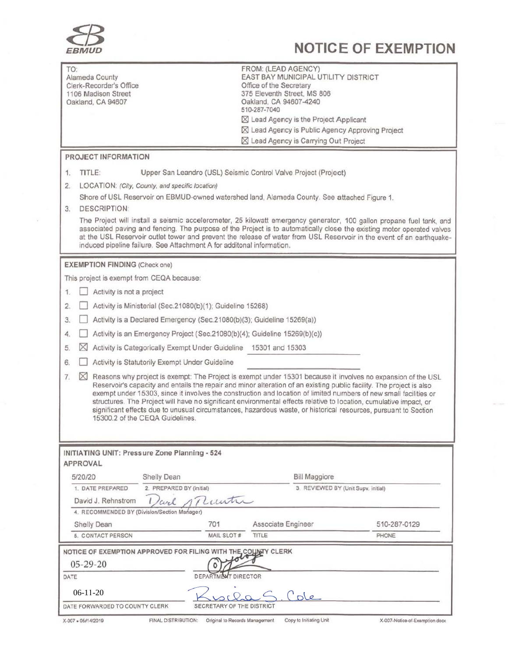

# **NOTICE OF EXEMPTION**

| TO:                                                                                                                                                                                                                                                                                                                                                                                                                                             | Alameda County<br>Clerk-Recorder's Office<br>1106 Madison Street<br>Oakland, CA 94607                                                                                                                                                                                                                                                                                                                                                                                                                                                                                                                                                             |                                | FROM: (LEAD AGENCY)<br>EAST BAY MUNICIPAL UTILITY DISTRICT<br>Office of the Secretary<br>375 Eleventh Street, MS 806<br>Oakland, CA 94607-4240<br>510-287-7040<br>⊠ Lead Agency is the Project Applicant<br>⊠ Lead Agency is Public Agency Approving Project<br>⊠ Lead Agency is Carrying Out Project |                                |  |
|-------------------------------------------------------------------------------------------------------------------------------------------------------------------------------------------------------------------------------------------------------------------------------------------------------------------------------------------------------------------------------------------------------------------------------------------------|---------------------------------------------------------------------------------------------------------------------------------------------------------------------------------------------------------------------------------------------------------------------------------------------------------------------------------------------------------------------------------------------------------------------------------------------------------------------------------------------------------------------------------------------------------------------------------------------------------------------------------------------------|--------------------------------|-------------------------------------------------------------------------------------------------------------------------------------------------------------------------------------------------------------------------------------------------------------------------------------------------------|--------------------------------|--|
| PROJECT INFORMATION                                                                                                                                                                                                                                                                                                                                                                                                                             |                                                                                                                                                                                                                                                                                                                                                                                                                                                                                                                                                                                                                                                   |                                |                                                                                                                                                                                                                                                                                                       |                                |  |
| 1.                                                                                                                                                                                                                                                                                                                                                                                                                                              | TITLE:<br>Upper San Leandro (USL) Seismic Control Valve Project (Project)                                                                                                                                                                                                                                                                                                                                                                                                                                                                                                                                                                         |                                |                                                                                                                                                                                                                                                                                                       |                                |  |
| 2.                                                                                                                                                                                                                                                                                                                                                                                                                                              | LOCATION: (City, County, and specific location)                                                                                                                                                                                                                                                                                                                                                                                                                                                                                                                                                                                                   |                                |                                                                                                                                                                                                                                                                                                       |                                |  |
|                                                                                                                                                                                                                                                                                                                                                                                                                                                 | Shore of USL Reservoir on EBMUD-owned watershed land, Alameda County. See attached Figure 1.                                                                                                                                                                                                                                                                                                                                                                                                                                                                                                                                                      |                                |                                                                                                                                                                                                                                                                                                       |                                |  |
| <b>DESCRIPTION:</b><br>3.                                                                                                                                                                                                                                                                                                                                                                                                                       |                                                                                                                                                                                                                                                                                                                                                                                                                                                                                                                                                                                                                                                   |                                |                                                                                                                                                                                                                                                                                                       |                                |  |
| The Project will install a seismic accelerometer, 25 kilowatt emergency generator, 100 gallon propane fuel tank, and<br>associated paving and fencing. The purpose of the Project is to automatically close the existing motor operated valves<br>at the USL Reservoir outlet tower and prevent the release of water from USL Reservoir in the event of an earthquake-<br>induced pipeline failure. See Attachment A for additonal information. |                                                                                                                                                                                                                                                                                                                                                                                                                                                                                                                                                                                                                                                   |                                |                                                                                                                                                                                                                                                                                                       |                                |  |
| <b>EXEMPTION FINDING (Check one)</b>                                                                                                                                                                                                                                                                                                                                                                                                            |                                                                                                                                                                                                                                                                                                                                                                                                                                                                                                                                                                                                                                                   |                                |                                                                                                                                                                                                                                                                                                       |                                |  |
| This project is exempt from CEQA because:                                                                                                                                                                                                                                                                                                                                                                                                       |                                                                                                                                                                                                                                                                                                                                                                                                                                                                                                                                                                                                                                                   |                                |                                                                                                                                                                                                                                                                                                       |                                |  |
| Activity is not a project<br>1.                                                                                                                                                                                                                                                                                                                                                                                                                 |                                                                                                                                                                                                                                                                                                                                                                                                                                                                                                                                                                                                                                                   |                                |                                                                                                                                                                                                                                                                                                       |                                |  |
| 2.                                                                                                                                                                                                                                                                                                                                                                                                                                              | Activity is Ministerial (Sec.21080(b)(1); Guideline 15268)                                                                                                                                                                                                                                                                                                                                                                                                                                                                                                                                                                                        |                                |                                                                                                                                                                                                                                                                                                       |                                |  |
| Activity is a Declared Emergency (Sec.21080(b)(3); Guideline 15269(a))<br>3.                                                                                                                                                                                                                                                                                                                                                                    |                                                                                                                                                                                                                                                                                                                                                                                                                                                                                                                                                                                                                                                   |                                |                                                                                                                                                                                                                                                                                                       |                                |  |
| Activity is an Emergency Project (Sec.21080(b)(4); Guideline 15269(b)(c))<br>4.                                                                                                                                                                                                                                                                                                                                                                 |                                                                                                                                                                                                                                                                                                                                                                                                                                                                                                                                                                                                                                                   |                                |                                                                                                                                                                                                                                                                                                       |                                |  |
| 5.                                                                                                                                                                                                                                                                                                                                                                                                                                              | ⊠<br>Activity is Categorically Exempt Under Guideline 15301 and 15303                                                                                                                                                                                                                                                                                                                                                                                                                                                                                                                                                                             |                                |                                                                                                                                                                                                                                                                                                       |                                |  |
| 6.                                                                                                                                                                                                                                                                                                                                                                                                                                              | Activity is Statutorily Exempt Under Guideline                                                                                                                                                                                                                                                                                                                                                                                                                                                                                                                                                                                                    |                                |                                                                                                                                                                                                                                                                                                       |                                |  |
| 7.                                                                                                                                                                                                                                                                                                                                                                                                                                              | $\boxtimes$ Reasons why project is exempt: The Project is exempt under 15301 because it involves no expansion of the USL<br>Reservoir's capacity and entails the repair and minor alteration of an existing public facility. The project is also<br>exempt under 15303, since it involves the construction and location of limited numbers of new small facilities or<br>structures. The Project will have no significant environmental effects relative to location, cumulative impact, or<br>significant effects due to unusual circumstances, hazardous waste, or historical resources, pursuant to Section<br>15300.2 of the CEQA Guidelines. |                                |                                                                                                                                                                                                                                                                                                       |                                |  |
|                                                                                                                                                                                                                                                                                                                                                                                                                                                 |                                                                                                                                                                                                                                                                                                                                                                                                                                                                                                                                                                                                                                                   |                                |                                                                                                                                                                                                                                                                                                       |                                |  |
| INITIATING UNIT: Pressure Zone Planning - 524<br>APPROVAL                                                                                                                                                                                                                                                                                                                                                                                       |                                                                                                                                                                                                                                                                                                                                                                                                                                                                                                                                                                                                                                                   |                                |                                                                                                                                                                                                                                                                                                       |                                |  |
| 5/20/20                                                                                                                                                                                                                                                                                                                                                                                                                                         | Shelly Dean                                                                                                                                                                                                                                                                                                                                                                                                                                                                                                                                                                                                                                       |                                | <b>Bill Maggiore</b>                                                                                                                                                                                                                                                                                  |                                |  |
|                                                                                                                                                                                                                                                                                                                                                                                                                                                 | 2. PREPARED BY (initial)<br>3. REVIEWED BY (Unit Supv. initial)<br>1. DATE PREPARED                                                                                                                                                                                                                                                                                                                                                                                                                                                                                                                                                               |                                |                                                                                                                                                                                                                                                                                                       |                                |  |
| Luntin<br>David J. Rehnstrom<br>wel<br>4. RECOMMENDED BY (Division/Section Manager)                                                                                                                                                                                                                                                                                                                                                             |                                                                                                                                                                                                                                                                                                                                                                                                                                                                                                                                                                                                                                                   |                                |                                                                                                                                                                                                                                                                                                       |                                |  |
|                                                                                                                                                                                                                                                                                                                                                                                                                                                 | Shelly Dean                                                                                                                                                                                                                                                                                                                                                                                                                                                                                                                                                                                                                                       | 701                            | Associate Engineer                                                                                                                                                                                                                                                                                    | 510-287-0129                   |  |
|                                                                                                                                                                                                                                                                                                                                                                                                                                                 | 5. CONTACT PERSON                                                                                                                                                                                                                                                                                                                                                                                                                                                                                                                                                                                                                                 | MAIL SLOT #                    | TITLE                                                                                                                                                                                                                                                                                                 | PHONE                          |  |
| NOTICE OF EXEMPTION APPROVED FOR FILING WITH THE COUNTY CLERK<br>$05 - 29 - 20$<br><b>DEPARTMENT DIRECTOR</b><br>DATE                                                                                                                                                                                                                                                                                                                           |                                                                                                                                                                                                                                                                                                                                                                                                                                                                                                                                                                                                                                                   |                                |                                                                                                                                                                                                                                                                                                       |                                |  |
| $06-11-20$<br>Cole                                                                                                                                                                                                                                                                                                                                                                                                                              |                                                                                                                                                                                                                                                                                                                                                                                                                                                                                                                                                                                                                                                   |                                |                                                                                                                                                                                                                                                                                                       |                                |  |
| DATE FORWARDED TO COUNTY CLERK<br>SECRETARY OF THE DISTRICT                                                                                                                                                                                                                                                                                                                                                                                     |                                                                                                                                                                                                                                                                                                                                                                                                                                                                                                                                                                                                                                                   |                                |                                                                                                                                                                                                                                                                                                       |                                |  |
| X-007 . 05/14/2019                                                                                                                                                                                                                                                                                                                                                                                                                              | FINAL DISTRIBUTION:                                                                                                                                                                                                                                                                                                                                                                                                                                                                                                                                                                                                                               | Original to Records Management | Copy to Initiating Unit                                                                                                                                                                                                                                                                               | X-007-Notice-of-Exemption.docx |  |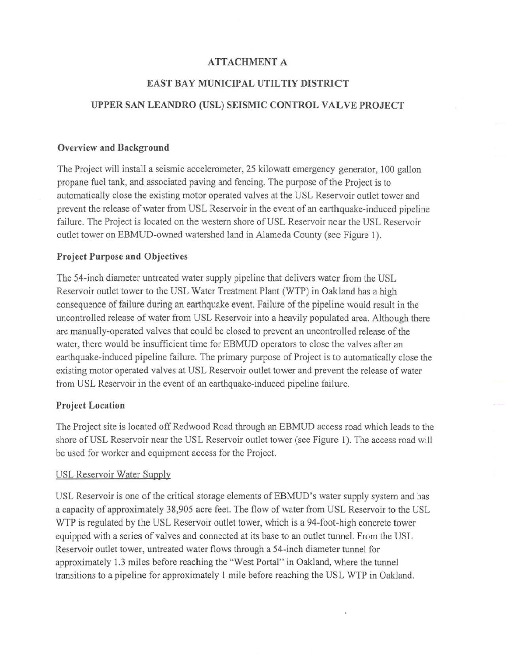## **ATTACHMENT A**

## **EAST BAY MUNICIPAL UTILTIY DISTRICT**

## **UPPER SAN LEANDRO (USL) SEISMIC CONTROL VAL VE PROJECT**

#### **Overview and Background**

The Project will install a seismic accelerometer, 25 kilowatt emergency generator, 100 gallon propane fuel tank, and associated paving and fencing. The purpose of the Project is to automatically close the existing motor operated valves at the USL Reservoir outlet tower and prevent the release of water from USL Reservoir in the event of an earthquake-induced pipeline failure. The Project is located on the western shore of USL Reservoir near the USL Reservoir outlet tower on EBMUD-owned watershed land in Alameda County (see Figure **1).** 

## **Project Purpose and Objectives**

The 54-inch diameter untreated water supply pipeline that delivers water from the USL Reservoir outlet tower to the USL Water Treatment Plant (WTP) in Oakland has a high consequence of failure during an earthquake event. Failure of the pipeline would result in the uncontrolled release of water from USL Reservoir into a heavily populated area. Although there are manually-operated valves that could be closed to prevent an uncontrolled release of the water, there would be insufficient time for EBMUD operators to close the valves after an earthquake-induced pipeline failure. The primary purpose of Project is to automatically close the existing motor operated valves at USL Reservoir outlet tower and prevent the release of water from USL Reservoir in the event of an earthquake-induced pipeline failure.

## **Project Location**

The Project site is located off Redwood Road through an EBMUD access road which leads to the shore of USL Reservoir near the USL Reservoir outlet tower (see Figure 1). The access road will be used for worker and equipment access for the Project.

## USL Reservoir Water Supply

USL Reservoir is one of the critical storage elements of EBMUD's water supply system and has a capacity of approximately 38,905 acre feet. The flow of water from USL Reservoir to the USL WTP is regulated by the USL Reservoir outlet tower, which is a 94-foot-high concrete tower equipped with a series of valves and connected at its base to an outlet tunnel. From the USL Reservoir outlet tower, untreated water flows through a 54-inch diameter tunnel for approximately 1.3 miles before reaching the "West Portal" in Oakland, where the tunnel transitions to a pipeline for approximately 1 mile before reaching the USL WTP in Oakland.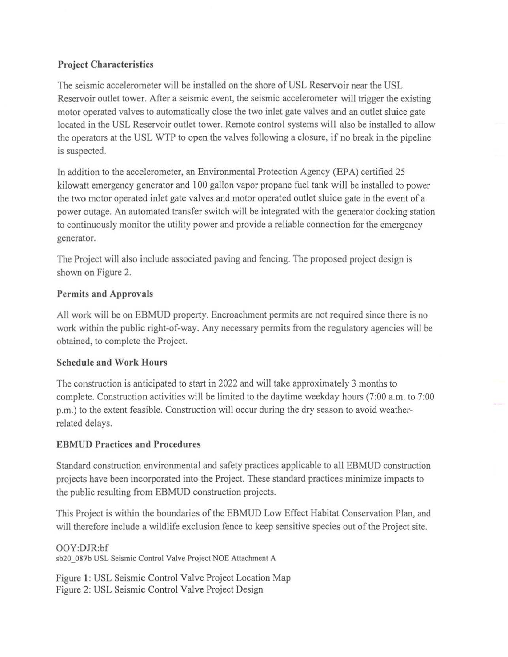# Project Characteristics

The seismic accelerometer will be installed on the shore of USL Reservoir near the USL Reservoir outlet tower. After a seismic event, the seismic accelerometer will trigger the existing motor operated valves to automatically close the two inlet gate valves and an outlet sluice gate located in the USL Reservoir outlet tower. Remote control systems will also be installed to allow the operators at the USL WTP to open the valves following a closure, if no break in the pipeline is suspected.

In addition to the accelerometer, an Environmental Protection Agency (EPA) certified 25 kilowatt emergency generator and 100 gallon vapor propane fuel tank will be installed to power the two motor operated inlet gate valves and motor operated outlet sluice gate in the event of a power outage. An automated transfer switch will be integrated with the generator docking station to continuously monitor the utility power and provide a reliable connection for the emergency generator.

The Project will also include associated paving and fencing. The proposed project design is shown on Figure 2.

# Permits and Approvals

All work will be on EBMUD property. Encroachment permits are not required since there is no work within the public right-of-way. Any necessary permits from the regulatory agencies will be obtained, to complete the Project.

# Schedule and Work Hours

The construction is anticipated to start in 2022 and will take approximately 3 months to complete. Construction activities will be limited to the daytime weekday hours (7:00 a.m. to 7:00 p.m.) to the extent feasible. Construction will occur during the dry season to avoid weatherrelated delays.

# EBMUD Practices and Procedures

Standard construction environmental and safety practices applicable to all EBMUD construction projects have been incorporated into the Project. These standard practices minimize impacts to the public resulting from EBMUD construction projects.

This Project is within the boundaries of the EBMUD Low Effect Habitat Conservation Plan, and will therefore include a wildlife exclusion fence to keep sensitive species out of the Project site.

OOY:DJR:bf sb20\_087b USL Seismic Control Valve Project NOE Attachment A

Figure 1: USL Seismic Control Valve Project Location Map Figure 2: USL Seismic Control Valve Project Design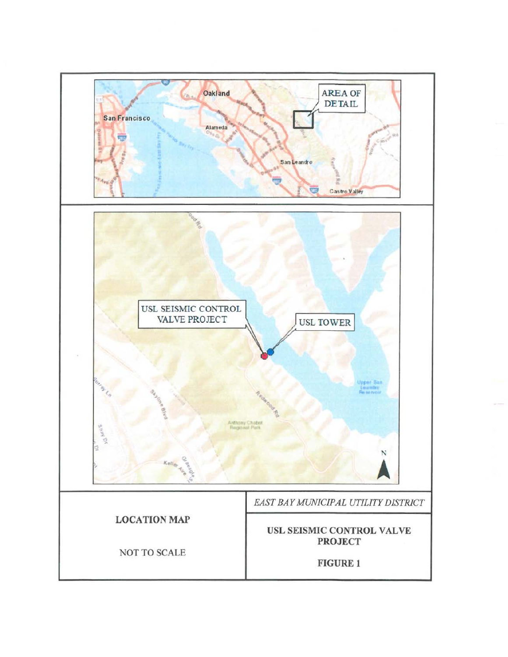